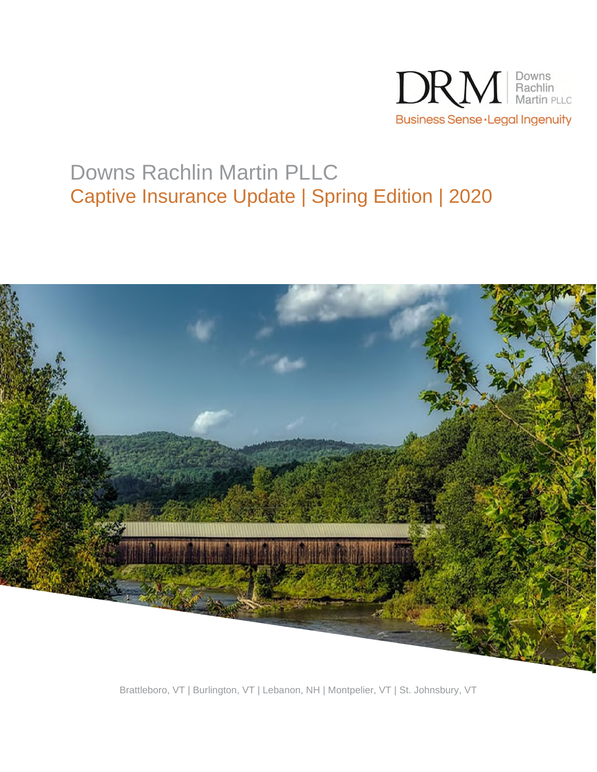

# Downs Rachlin Martin PLLC Captive Insurance Update | Spring Edition | 2020



Brattleboro, VT | Burlington, VT | Lebanon, NH | Montpelier, VT | St. Johnsbury, VT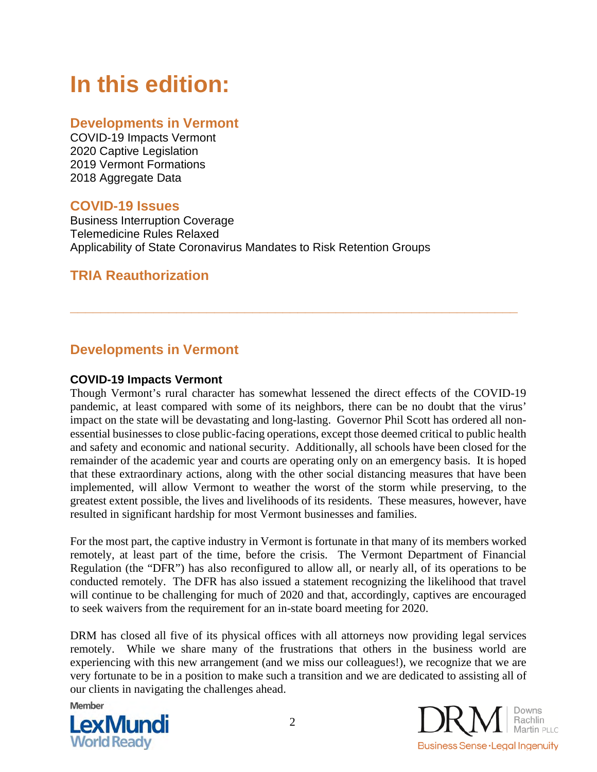# **In this edition:**

## **Developments in Vermont**

COVID-19 Impacts Vermont 2020 Captive Legislation 2019 Vermont Formations 2018 Aggregate Data

## **COVID-19 Issues**

Business Interruption Coverage Telemedicine Rules Relaxed Applicability of State Coronavirus Mandates to Risk Retention Groups

## **TRIA Reauthorization**

## **Developments in Vermont**

#### **COVID-19 Impacts Vermont**

Though Vermont's rural character has somewhat lessened the direct effects of the COVID-19 pandemic, at least compared with some of its neighbors, there can be no doubt that the virus' impact on the state will be devastating and long-lasting. Governor Phil Scott has ordered all nonessential businesses to close public-facing operations, except those deemed critical to public health and safety and economic and national security. Additionally, all schools have been closed for the remainder of the academic year and courts are operating only on an emergency basis. It is hoped that these extraordinary actions, along with the other social distancing measures that have been implemented, will allow Vermont to weather the worst of the storm while preserving, to the greatest extent possible, the lives and livelihoods of its residents. These measures, however, have resulted in significant hardship for most Vermont businesses and families.

**\_\_\_\_\_\_\_\_\_\_\_\_\_\_\_\_\_\_\_\_\_\_\_\_\_\_\_\_\_\_\_\_\_\_\_\_\_\_\_\_\_\_\_\_\_\_\_\_\_\_\_\_\_\_\_\_\_\_\_** 

For the most part, the captive industry in Vermont is fortunate in that many of its members worked remotely, at least part of the time, before the crisis. The Vermont Department of Financial Regulation (the "DFR") has also reconfigured to allow all, or nearly all, of its operations to be conducted remotely. The DFR has also issued a statement recognizing the likelihood that travel will continue to be challenging for much of 2020 and that, accordingly, captives are encouraged to seek waivers from the requirement for an in-state board meeting for 2020.

DRM has closed all five of its physical offices with all attorneys now providing legal services remotely. While we share many of the frustrations that others in the business world are experiencing with this new arrangement (and we miss our colleagues!), we recognize that we are very fortunate to be in a position to make such a transition and we are dedicated to assisting all of our clients in navigating the challenges ahead.

Member



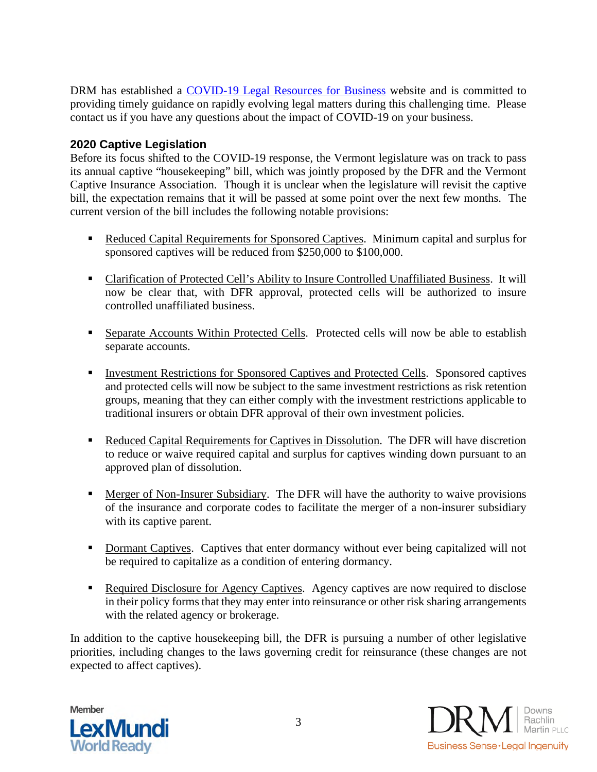DRM has established a [COVID-19 Legal Resources for Business](https://www.drm.com/resources/covid-19-resource-center) website and is committed to providing timely guidance on rapidly evolving legal matters during this challenging time. Please contact us if you have any questions about the impact of COVID-19 on your business.

#### **2020 Captive Legislation**

Before its focus shifted to the COVID-19 response, the Vermont legislature was on track to pass its annual captive "housekeeping" bill, which was jointly proposed by the DFR and the Vermont Captive Insurance Association. Though it is unclear when the legislature will revisit the captive bill, the expectation remains that it will be passed at some point over the next few months. The current version of the bill includes the following notable provisions:

- Reduced Capital Requirements for Sponsored Captives. Minimum capital and surplus for sponsored captives will be reduced from \$250,000 to \$100,000.
- Clarification of Protected Cell's Ability to Insure Controlled Unaffiliated Business. It will now be clear that, with DFR approval, protected cells will be authorized to insure controlled unaffiliated business.
- Separate Accounts Within Protected Cells. Protected cells will now be able to establish separate accounts.
- **Investment Restrictions for Sponsored Captives and Protected Cells. Sponsored captives** and protected cells will now be subject to the same investment restrictions as risk retention groups, meaning that they can either comply with the investment restrictions applicable to traditional insurers or obtain DFR approval of their own investment policies.
- **Reduced Capital Requirements for Captives in Dissolution. The DFR will have discretion** to reduce or waive required capital and surplus for captives winding down pursuant to an approved plan of dissolution.
- **Merger of Non-Insurer Subsidiary. The DFR will have the authority to waive provisions** of the insurance and corporate codes to facilitate the merger of a non-insurer subsidiary with its captive parent.
- **Dormant Captives.** Captives that enter dormancy without ever being capitalized will not be required to capitalize as a condition of entering dormancy.
- Required Disclosure for Agency Captives. Agency captives are now required to disclose in their policy forms that they may enter into reinsurance or other risk sharing arrangements with the related agency or brokerage.

In addition to the captive housekeeping bill, the DFR is pursuing a number of other legislative priorities, including changes to the laws governing credit for reinsurance (these changes are not expected to affect captives).



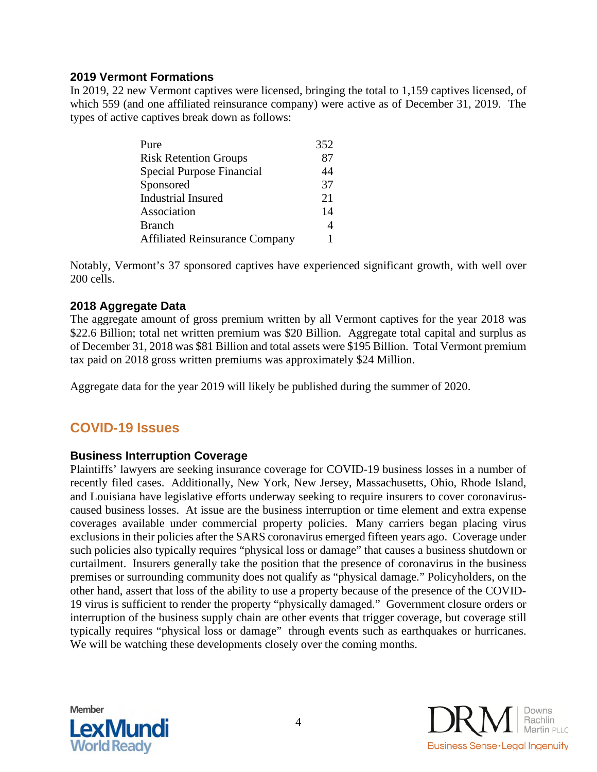#### **2019 Vermont Formations**

In 2019, 22 new Vermont captives were licensed, bringing the total to 1,159 captives licensed, of which 559 (and one affiliated reinsurance company) were active as of December 31, 2019. The types of active captives break down as follows:

| Pure                                  | 352 |
|---------------------------------------|-----|
| <b>Risk Retention Groups</b>          | 87  |
| Special Purpose Financial             | 44  |
| Sponsored                             | 37  |
| Industrial Insured                    | 21  |
| Association                           | 14  |
| <b>Branch</b>                         |     |
| <b>Affiliated Reinsurance Company</b> |     |

Notably, Vermont's 37 sponsored captives have experienced significant growth, with well over 200 cells.

#### **2018 Aggregate Data**

The aggregate amount of gross premium written by all Vermont captives for the year 2018 was \$22.6 Billion; total net written premium was \$20 Billion. Aggregate total capital and surplus as of December 31, 2018 was \$81 Billion and total assets were \$195 Billion. Total Vermont premium tax paid on 2018 gross written premiums was approximately \$24 Million.

Aggregate data for the year 2019 will likely be published during the summer of 2020.

## **COVID-19 Issues**

#### **Business Interruption Coverage**

Plaintiffs' lawyers are seeking insurance coverage for COVID-19 business losses in a number of recently filed cases. Additionally, New York, New Jersey, Massachusetts, Ohio, Rhode Island, and Louisiana have legislative efforts underway seeking to require insurers to cover coronaviruscaused business losses. At issue are the business interruption or time element and extra expense coverages available under commercial property policies. Many carriers began placing virus exclusions in their policies after the SARS coronavirus emerged fifteen years ago. Coverage under such policies also typically requires "physical loss or damage" that causes a business shutdown or curtailment. Insurers generally take the position that the presence of coronavirus in the business premises or surrounding community does not qualify as "physical damage." Policyholders, on the other hand, assert that loss of the ability to use a property because of the presence of the COVID-19 virus is sufficient to render the property "physically damaged." Government closure orders or interruption of the business supply chain are other events that trigger coverage, but coverage still typically requires "physical loss or damage" through events such as earthquakes or hurricanes. We will be watching these developments closely over the coming months.



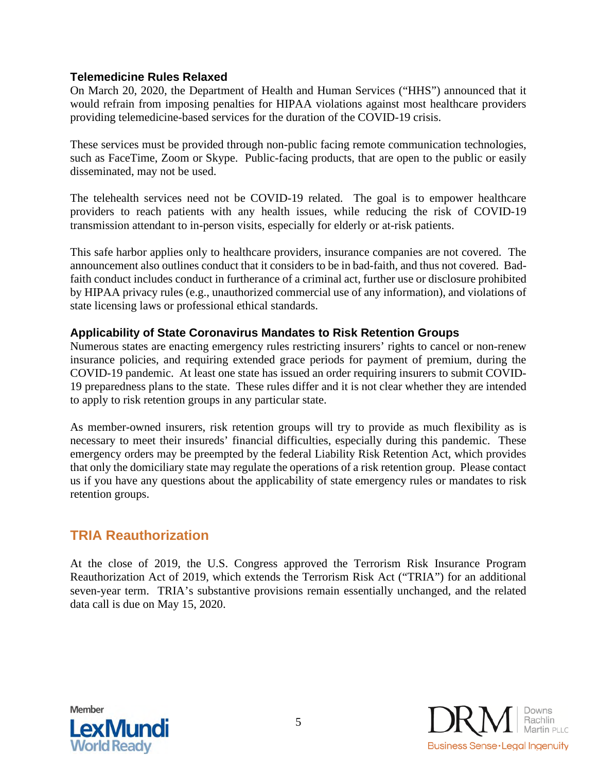#### **Telemedicine Rules Relaxed**

On March 20, 2020, the Department of Health and Human Services ("HHS") announced that it would refrain from imposing penalties for HIPAA violations against most healthcare providers providing telemedicine-based services for the duration of the COVID-19 crisis.

These services must be provided through non-public facing remote communication technologies, such as FaceTime, Zoom or Skype. Public-facing products, that are open to the public or easily disseminated, may not be used.

The telehealth services need not be COVID-19 related. The goal is to empower healthcare providers to reach patients with any health issues, while reducing the risk of COVID-19 transmission attendant to in-person visits, especially for elderly or at-risk patients.

This safe harbor applies only to healthcare providers, insurance companies are not covered. The announcement also outlines conduct that it considers to be in bad-faith, and thus not covered. Badfaith conduct includes conduct in furtherance of a criminal act, further use or disclosure prohibited by HIPAA privacy rules (e.g., unauthorized commercial use of any information), and violations of state licensing laws or professional ethical standards.

#### **Applicability of State Coronavirus Mandates to Risk Retention Groups**

Numerous states are enacting emergency rules restricting insurers' rights to cancel or non-renew insurance policies, and requiring extended grace periods for payment of premium, during the COVID-19 pandemic. At least one state has issued an order requiring insurers to submit COVID-19 preparedness plans to the state. These rules differ and it is not clear whether they are intended to apply to risk retention groups in any particular state.

As member-owned insurers, risk retention groups will try to provide as much flexibility as is necessary to meet their insureds' financial difficulties, especially during this pandemic. These emergency orders may be preempted by the federal Liability Risk Retention Act, which provides that only the domiciliary state may regulate the operations of a risk retention group. Please contact us if you have any questions about the applicability of state emergency rules or mandates to risk retention groups.

## **TRIA Reauthorization**

At the close of 2019, the U.S. Congress approved the Terrorism Risk Insurance Program Reauthorization Act of 2019, which extends the Terrorism Risk Act ("TRIA") for an additional seven-year term. TRIA's substantive provisions remain essentially unchanged, and the related data call is due on May 15, 2020.